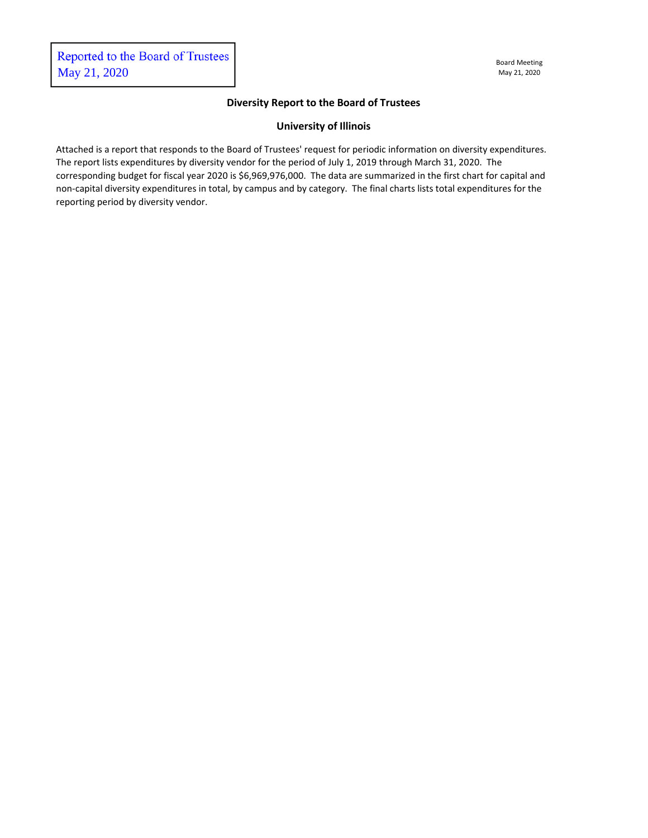## **Diversity Report to the Board of Trustees**

## **University of Illinois**

Attached is a report that responds to the Board of Trustees' request for periodic information on diversity expenditures. The report lists expenditures by diversity vendor for the period of July 1, 2019 through March 31, 2020. The corresponding budget for fiscal year 2020 is \$6,969,976,000. The data are summarized in the first chart for capital and non-capital diversity expenditures in total, by campus and by category. The final charts lists total expenditures for the reporting period by diversity vendor.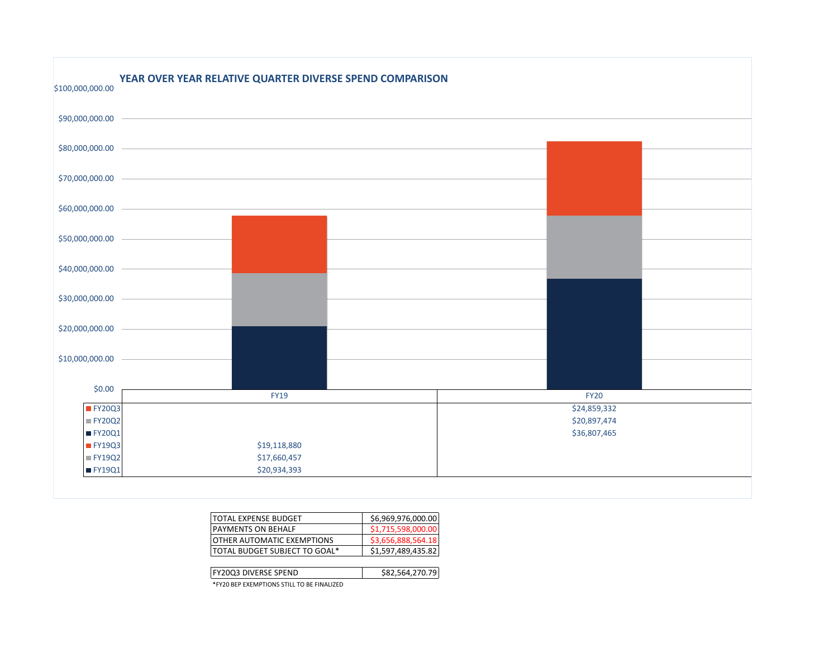| \$100,000,000.00 | YEAR OVER YEAR RELATIVE QUARTER DIVERSE SPEND COMPARISON |              |
|------------------|----------------------------------------------------------|--------------|
| \$90,000,000.00  |                                                          |              |
| \$80,000,000.00  |                                                          |              |
| \$70,000,000.00  |                                                          |              |
| \$60,000,000.00  |                                                          |              |
| \$50,000,000.00  |                                                          |              |
| \$40,000,000.00  |                                                          |              |
| \$30,000,000.00  |                                                          |              |
| \$20,000,000.00  |                                                          |              |
| \$10,000,000.00  |                                                          |              |
| \$0.00           | <b>FY19</b>                                              | <b>FY20</b>  |
| FY20Q3           |                                                          | \$24,859,332 |
| <b>FY20Q2</b>    |                                                          | \$20,897,474 |
| FY20Q1           |                                                          | \$36,807,465 |
| <b>FY19Q3</b>    | \$19,118,880                                             |              |
| <b>FY19Q2</b>    | \$17,660,457                                             |              |
| FY19Q1           | \$20,934,393                                             |              |

| ITOTAL EXPENSE BUDGET             | \$6,969,976,000.00 |
|-----------------------------------|--------------------|
| <b>IPAYMENTS ON BEHALF</b>        | \$1,715,598,000.00 |
| <b>OTHER AUTOMATIC EXEMPTIONS</b> | \$3,656,888,564.18 |
| TOTAL BUDGET SUBJECT TO GOAL*     | \$1,597,489,435.82 |
|                                   |                    |

| <b>FY2003 DIVERSE SPEND</b>                | .564.270.79 |
|--------------------------------------------|-------------|
| *FY20 BEP EXEMPTIONS STILL TO BE FINALIZED |             |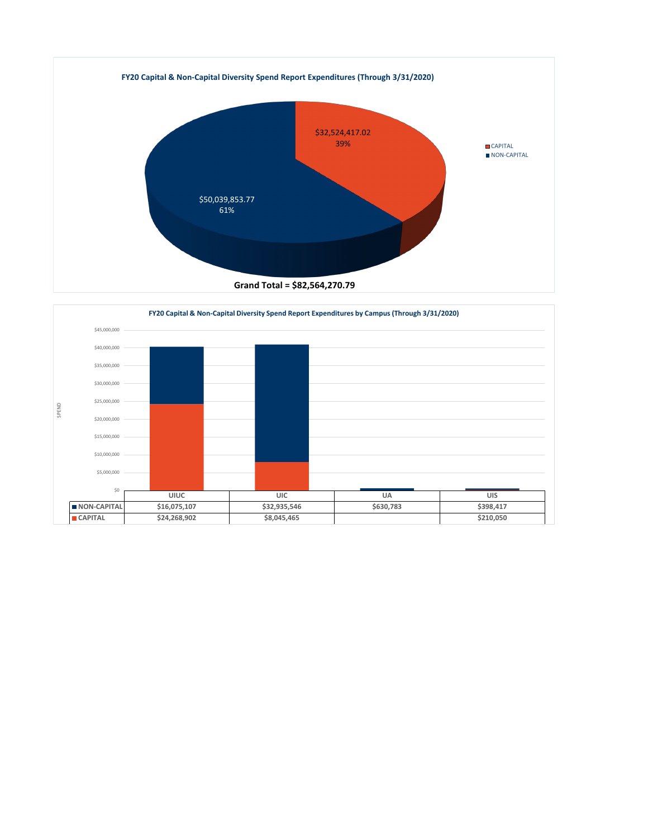

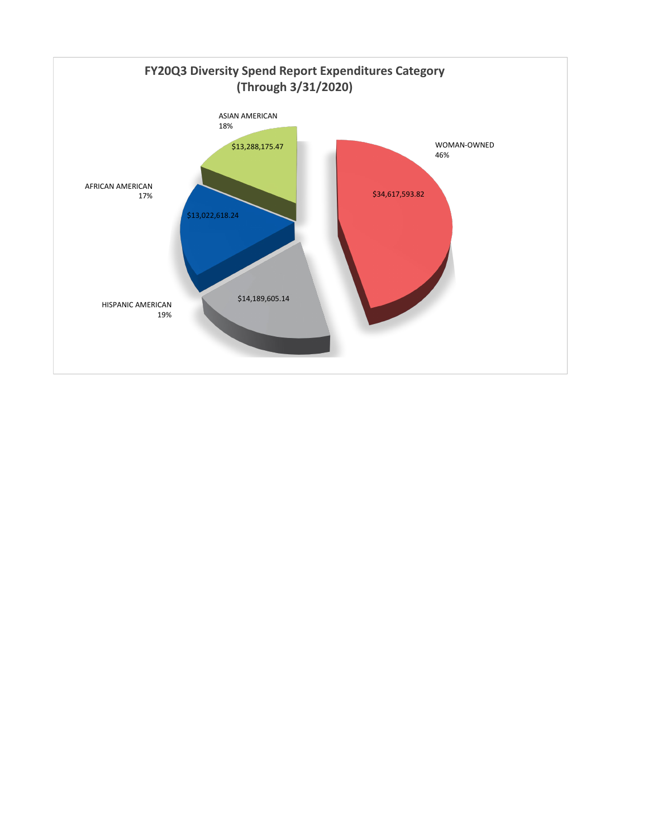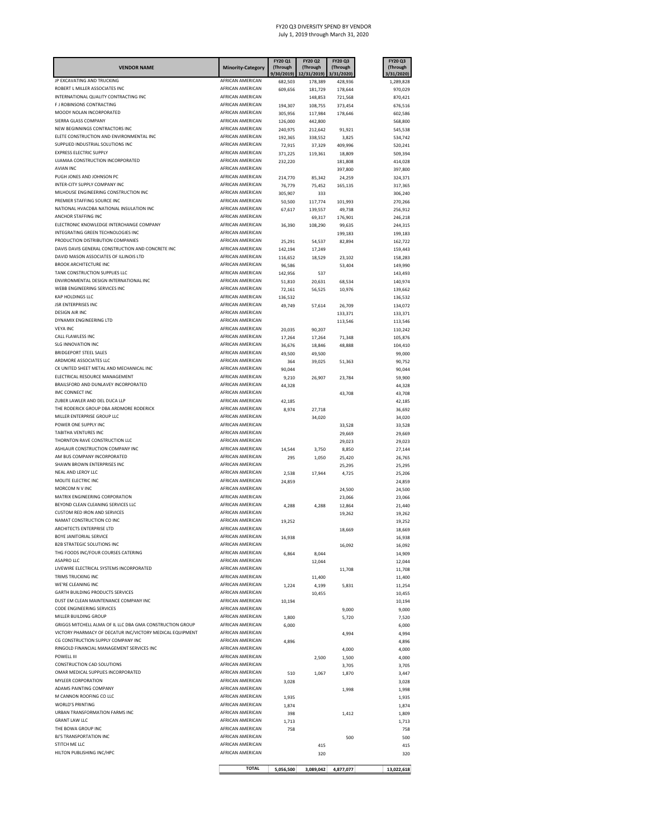| <b>VENDOR NAME</b>                                                                 | <b>Minority-Category</b>                    | FY20 Q1<br>(Through<br>9/30/2019) | <b>FY20 Q2</b><br>(Through<br>12/31/2019) | FY20 Q3<br>(Through<br>3/31/2020) | FY20 Q3<br>(Through<br>3/31/2020) |
|------------------------------------------------------------------------------------|---------------------------------------------|-----------------------------------|-------------------------------------------|-----------------------------------|-----------------------------------|
| JP EXCAVATING AND TRUCKING                                                         | AFRICAN AMERICAN                            | 682,503                           | 178,389                                   | 428,936                           | 1,289,828                         |
| ROBERT L MILLER ASSOCIATES INC                                                     | <b>AFRICAN AMFRICAN</b>                     | 609,656                           | 181,729                                   | 178,644                           | 970,029                           |
| INTERNATIONAL QUALITY CONTRACTING INC<br>F J ROBINSONS CONTRACTING                 | AFRICAN AMERICAN<br>AFRICAN AMERICAN        | 194,307                           | 148,853<br>108,755                        | 721,568<br>373,454                | 870,421<br>676,516                |
| MOODY NOLAN INCORPORATED                                                           | AFRICAN AMERICAN                            | 305,956                           | 117,984                                   | 178,646                           | 602,586                           |
| SIERRA GLASS COMPANY                                                               | AFRICAN AMERICAN                            | 126,000                           | 442,800                                   |                                   | 568,800                           |
| NEW BEGINNINGS CONTRACTORS INC                                                     | AFRICAN AMERICAN                            | 240,975                           | 212,642                                   | 91,921                            | 545,538                           |
| ELETE CONSTRUCTION AND ENVIRONMENTAL INC<br>SUPPLIED INDUSTRIAL SOLUTIONS INC      | <b>AFRICAN AMERICAN</b><br>AFRICAN AMERICAN | 192,365<br>72,915                 | 338,552<br>37,329                         | 3,825<br>409,996                  | 534,742<br>520,241                |
| <b>EXPRESS ELECTRIC SUPPLY</b>                                                     | <b>AFRICAN AMERICAN</b>                     | 371,225                           | 119,361                                   | 18,809                            | 509,394                           |
| UJAMAA CONSTRUCTION INCORPORATED                                                   | AFRICAN AMERICAN                            | 232,220                           |                                           | 181,808                           | 414,028                           |
| <b>AVIAN INC</b>                                                                   | <b>AFRICAN AMERICAN</b>                     |                                   |                                           | 397,800                           | 397,800                           |
| PUGH JONES AND JOHNSON PC<br>INTER-CITY SUPPLY COMPANY INC                         | AFRICAN AMERICAN<br>AFRICAN AMERICAN        | 214,770                           | 85,342                                    | 24,259                            | 324,371                           |
| MILHOUSE ENGINEERING CONSTRUCTION INC                                              | AFRICAN AMERICAN                            | 76,779<br>305,907                 | 75,452<br>333                             | 165,135                           | 317,365<br>306,240                |
| PREMIER STAFFING SOURCE INC                                                        | AFRICAN AMERICAN                            | 50,500                            | 117,774                                   | 101,993                           | 270,266                           |
| NATIONAL HVACDBA NATIONAL INSULATION INC                                           | AFRICAN AMERICAN                            | 67,617                            | 139,557                                   | 49,738                            | 256,912                           |
| ANCHOR STAFFING INC                                                                | AFRICAN AMERICAN                            |                                   | 69,317                                    | 176,901                           | 246,218                           |
| ELECTRONIC KNOWLEDGE INTERCHANGE COMPANY<br>INTEGRATING GREEN TECHNOLOGIES INC     | AFRICAN AMERICAN<br>AFRICAN AMERICAN        | 36,390                            | 108,290                                   | 99,635<br>199,183                 | 244,315<br>199,183                |
| PRODUCTION DISTRIBUTION COMPANIES                                                  | AFRICAN AMERICAN                            | 25,291                            | 54,537                                    | 82,894                            | 162,722                           |
| DAVIS DAVIS GENERAL CONSTRUCTION AND CONCRETE INC                                  | AFRICAN AMERICAN                            | 142,194                           | 17,249                                    |                                   | 159,443                           |
| DAVID MASON ASSOCIATES OF ILLINOIS LTD                                             | AFRICAN AMERICAN                            | 116,652                           | 18,529                                    | 23,102                            | 158,283                           |
| <b>BROOK ARCHITECTURE INC</b><br>TANK CONSTRUCTION SUPPLIES LLC                    | AFRICAN AMERICAN                            | 96,586                            |                                           | 53,404                            | 149,990                           |
| ENVIRONMENTAL DESIGN INTERNATIONAL INC                                             | AFRICAN AMERICAN<br>AFRICAN AMERICAN        | 142,956<br>51,810                 | 537<br>20,631                             |                                   | 143,493                           |
| WEBB ENGINEERING SERVICES INC                                                      | AFRICAN AMERICAN                            | 72,161                            | 56,525                                    | 68,534<br>10,976                  | 140,974<br>139,662                |
| KAP HOLDINGS LLC                                                                   | AFRICAN AMERICAN                            | 136,532                           |                                           |                                   | 136,532                           |
| <b>JSR ENTERPRISES INC</b>                                                         | AFRICAN AMERICAN                            | 49,749                            | 57,614                                    | 26,709                            | 134,072                           |
| <b>DESIGN AIR INC</b>                                                              | AFRICAN AMERICAN                            |                                   |                                           | 133,371                           | 133,371                           |
| DYNAMIX ENGINEERING LTD<br><b>VEYA INC</b>                                         | AFRICAN AMERICAN<br>AFRICAN AMERICAN        |                                   |                                           | 113,546                           | 113,546                           |
| CALL FLAWLESS INC                                                                  | <b>AFRICAN AMERICAN</b>                     | 20,035<br>17,264                  | 90,207<br>17,264                          | 71,348                            | 110,242<br>105,876                |
| <b>SLG INNOVATION INC</b>                                                          | <b>AFRICAN AMERICAN</b>                     | 36,676                            | 18,846                                    | 48,888                            | 104,410                           |
| <b>BRIDGEPORT STEEL SALES</b>                                                      | <b>AFRICAN AMERICAN</b>                     | 49,500                            | 49,500                                    |                                   | 99,000                            |
| ARDMORE ASSOCIATES LLC                                                             | AFRICAN AMERICAN                            | 364                               | 39,025                                    | 51,363                            | 90,752                            |
| CK UNITED SHEET METAL AND MECHANICAL INC<br>ELECTRICAL RESOURCE MANAGEMENT         | <b>AFRICAN AMERICAN</b><br>AFRICAN AMERICAN | 90,044                            |                                           |                                   | 90,044                            |
| BRAILSFORD AND DUNLAVEY INCORPORATED                                               | AFRICAN AMERICAN                            | 9,210<br>44,328                   | 26.907                                    | 23.784                            | 59,900<br>44,328                  |
| IMC CONNECT INC                                                                    | AFRICAN AMERICAN                            |                                   |                                           | 43,708                            | 43,708                            |
| ZUBER LAWLER AND DEL DUCA LLP                                                      | AFRICAN AMERICAN                            | 42,185                            |                                           |                                   | 42,185                            |
| THE RODERICK GROUP DBA ARDMORE RODERICK                                            | AFRICAN AMERICAN                            | 8,974                             | 27,718                                    |                                   | 36,692                            |
| MILLER ENTERPRISE GROUP LLC                                                        | AFRICAN AMERICAN                            |                                   | 34,020                                    |                                   | 34,020                            |
| POWER ONE SUPPLY INC<br>TABITHA VENTURES INC                                       | AFRICAN AMERICAN<br>AFRICAN AMERICAN        |                                   |                                           | 33,528<br>29,669                  | 33,528<br>29,669                  |
| THORNTON RAVE CONSTRUCTION LLC                                                     | AFRICAN AMERICAN                            |                                   |                                           | 29,023                            | 29,023                            |
| ASHLAUR CONSTRUCTION COMPANY INC                                                   | AFRICAN AMERICAN                            | 14,544                            | 3,750                                     | 8,850                             | 27,144                            |
| AM BUS COMPANY INCORPORATED                                                        | AFRICAN AMERICAN                            | 295                               | 1,050                                     | 25,420                            | 26,765                            |
| SHAWN BROWN ENTERPRISES INC<br>NEAL AND LEROY LLC                                  | AFRICAN AMERICAN                            |                                   |                                           | 25,295                            | 25,295                            |
| MOLITE ELECTRIC INC                                                                | AFRICAN AMERICAN<br>AFRICAN AMERICAN        | 2,538<br>24,859                   | 17,944                                    | 4,725                             | 25,206<br>24,859                  |
| MORCOM N V INC                                                                     | <b>AFRICAN AMFRICAN</b>                     |                                   |                                           | 24,500                            | 24,500                            |
| MATRIX ENGINEERING CORPORATION                                                     | AFRICAN AMERICAN                            |                                   |                                           | 23,066                            | 23,066                            |
| BEYOND CLEAN CLEANING SERVICES LLC                                                 | AFRICAN AMERICAN                            | 4,288                             | 4,288                                     | 12,864                            | 21,440                            |
| <b>CUSTOM RED IRON AND SERVICES</b><br>NAMAT CONSTRUCTION CO INC                   | AFRICAN AMERICAN<br>AFRICAN AMERICAN        |                                   |                                           | 19,262                            | 19,262                            |
| <b>ARCHITECTS ENTERPRISE LTD</b>                                                   | AFRICAN AMFRICAN                            | 19,252                            |                                           | 18,669                            | 19,252<br>18,669                  |
| BOYE JANITORIAL SERVICE                                                            | AFRICAN AMERICAN                            | 16,938                            |                                           |                                   | 16,938                            |
| <b>B2B STRATEGIC SOLUTIONS INC</b>                                                 | AFRICAN AMERICAN                            |                                   |                                           | 16,092                            | 16,092                            |
| THG FOODS INC/FOUR COURSES CATERING                                                | AFRICAN AMERICAN                            | 6,864                             | 8,044                                     |                                   | 14,909                            |
| ASAPRO LLC                                                                         | AFRICAN AMERICAN                            |                                   | 12,044                                    |                                   | 12,044                            |
| LIVEWIRE ELECTRICAL SYSTEMS INCORPORATED<br>TRIMS TRUCKING INC                     | AFRICAN AMERICAN<br>AFRICAN AMERICAN        |                                   |                                           | 11,708                            | 11,708                            |
| WE'RE CLEANING INC                                                                 | AFRICAN AMERICAN                            | 1,224                             | 11,400<br>4,199                           | 5,831                             | 11,400<br>11,254                  |
| <b>GARTH BUILDING PRODUCTS SERVICES</b>                                            | AFRICAN AMERICAN                            |                                   | 10,455                                    |                                   | 10,455                            |
| DUST EM CLEAN MAINTENANCE COMPANY INC                                              | AFRICAN AMERICAN                            | 10,194                            |                                           |                                   | 10,194                            |
| CODE ENGINEERING SERVICES                                                          | AFRICAN AMERICAN                            |                                   |                                           | 9,000                             | 9,000                             |
| MILLER BUILDING GROUP<br>GRIGGS MITCHELL ALMA OF IL LLC DBA GMA CONSTRUCTION GROUP | AFRICAN AMERICAN<br>AFRICAN AMERICAN        | 1,800                             |                                           | 5,720                             | 7,520                             |
| VICTORY PHARMACY OF DECATUR INC/VICTORY MEDICAL EQUIPMENT                          | AFRICAN AMERICAN                            | 6,000                             |                                           | 4,994                             | 6,000<br>4,994                    |
| CG CONSTRUCTION SUPPLY COMPANY INC                                                 | AFRICAN AMERICAN                            | 4,896                             |                                           |                                   | 4,896                             |
| RINGOLD FINANCIAL MANAGEMENT SERVICES INC                                          | AFRICAN AMERICAN                            |                                   |                                           | 4,000                             | 4,000                             |
| POWELL III                                                                         | AFRICAN AMERICAN                            |                                   | 2,500                                     | 1,500                             | 4,000                             |
| <b>CONSTRUCTION CAD SOLUTIONS</b><br>OMAR MEDICAL SUPPLIES INCORPORATED            | AFRICAN AMERICAN<br>AFRICAN AMERICAN        |                                   |                                           | 3,705                             | 3,705                             |
| <b>MYLEER CORPORATION</b>                                                          | <b>AFRICAN AMERICAN</b>                     | 510<br>3,028                      | 1,067                                     | 1,870                             | 3,447<br>3,028                    |
| ADAMS PAINTING COMPANY                                                             | <b>AFRICAN AMERICAN</b>                     |                                   |                                           | 1,998                             | 1,998                             |
| M CANNON ROOFING CO LLC                                                            | <b>AFRICAN AMERICAN</b>                     | 1,935                             |                                           |                                   | 1,935                             |
| <b>WORLD'S PRINTING</b>                                                            | AFRICAN AMERICAN                            | 1,874                             |                                           |                                   | 1,874                             |
| URBAN TRANSFORMATION FARMS INC                                                     | <b>AFRICAN AMERICAN</b>                     | 398                               |                                           | 1,412                             | 1,809                             |
| <b>GRANT LAW LLC</b><br>THE BOWA GROUP INC                                         | AFRICAN AMERICAN<br><b>AFRICAN AMERICAN</b> | 1,713                             |                                           |                                   | 1,713<br>758                      |
| <b>BJ'S TRANSPORTATION INC</b>                                                     | AFRICAN AMERICAN                            | 758                               |                                           | 500                               | 500                               |
| STITCH ME LLC                                                                      | AFRICAN AMERICAN                            |                                   | 415                                       |                                   | 415                               |
| HILTON PUBLISHING INC/HPC                                                          | AFRICAN AMERICAN                            |                                   | 320                                       |                                   | 320                               |
|                                                                                    | <b>TOTAL</b>                                |                                   |                                           |                                   |                                   |
|                                                                                    |                                             | 5,056,500                         | 3,089,042                                 | 4,877,077                         | 13,022,618                        |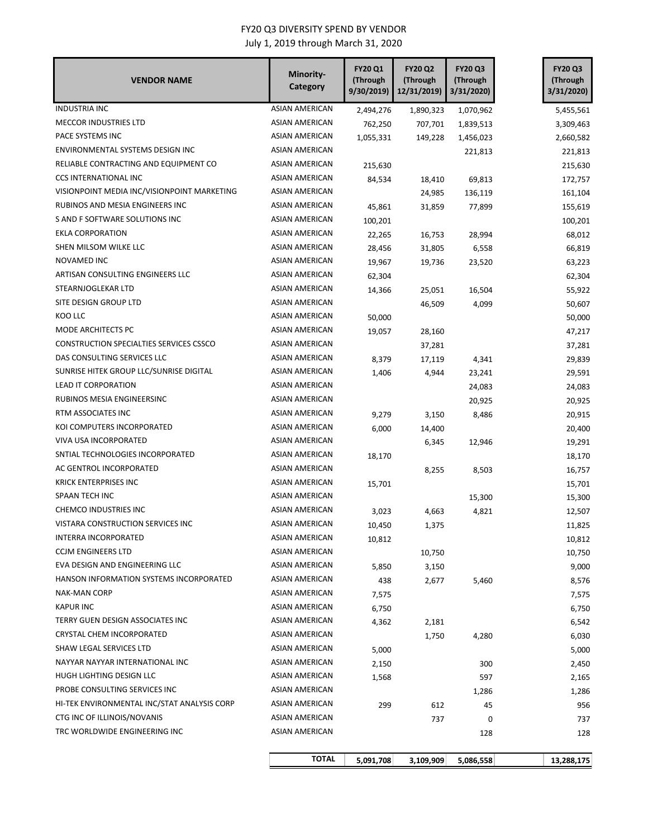| <b>VENDOR NAME</b>                             | Minority-<br>Category | <b>FY20 Q1</b><br>(Through<br>9/30/2019) | <b>FY20 Q2</b><br>(Through<br>12/31/2019) | <b>FY20 Q3</b><br>(Through<br>3/31/2020) | <b>FY20 Q3</b><br>(Through<br>3/31/2020) |
|------------------------------------------------|-----------------------|------------------------------------------|-------------------------------------------|------------------------------------------|------------------------------------------|
| <b>INDUSTRIA INC</b>                           | <b>ASIAN AMERICAN</b> | 2,494,276                                | 1,890,323                                 | 1,070,962                                | 5,455,561                                |
| <b>MECCOR INDUSTRIES LTD</b>                   | <b>ASIAN AMERICAN</b> | 762,250                                  | 707,701                                   | 1,839,513                                | 3,309,463                                |
| PACE SYSTEMS INC                               | <b>ASIAN AMERICAN</b> | 1,055,331                                | 149,228                                   | 1,456,023                                | 2,660,582                                |
| ENVIRONMENTAL SYSTEMS DESIGN INC               | ASIAN AMERICAN        |                                          |                                           | 221,813                                  | 221,813                                  |
| RELIABLE CONTRACTING AND EQUIPMENT CO          | ASIAN AMERICAN        | 215,630                                  |                                           |                                          | 215,630                                  |
| <b>CCS INTERNATIONAL INC</b>                   | ASIAN AMERICAN        | 84,534                                   | 18,410                                    | 69,813                                   | 172,757                                  |
| VISIONPOINT MEDIA INC/VISIONPOINT MARKETING    | <b>ASIAN AMERICAN</b> |                                          | 24,985                                    | 136,119                                  | 161,104                                  |
| RUBINOS AND MESIA ENGINEERS INC                | ASIAN AMERICAN        | 45,861                                   | 31,859                                    | 77,899                                   | 155,619                                  |
| S AND F SOFTWARE SOLUTIONS INC                 | ASIAN AMERICAN        | 100,201                                  |                                           |                                          | 100,201                                  |
| EKLA CORPORATION                               | ASIAN AMERICAN        | 22,265                                   | 16,753                                    | 28,994                                   | 68,012                                   |
| SHEN MILSOM WILKE LLC                          | ASIAN AMERICAN        | 28,456                                   | 31,805                                    | 6,558                                    | 66,819                                   |
| NOVAMED INC                                    | ASIAN AMERICAN        | 19,967                                   | 19,736                                    | 23,520                                   | 63,223                                   |
| ARTISAN CONSULTING ENGINEERS LLC               | <b>ASIAN AMERICAN</b> | 62,304                                   |                                           |                                          | 62,304                                   |
| STEARNJOGLEKAR LTD                             | <b>ASIAN AMERICAN</b> | 14,366                                   | 25,051                                    | 16,504                                   | 55,922                                   |
| SITE DESIGN GROUP LTD                          | ASIAN AMERICAN        |                                          | 46,509                                    | 4,099                                    | 50,607                                   |
| KOO LLC                                        | <b>ASIAN AMERICAN</b> | 50,000                                   |                                           |                                          | 50,000                                   |
| MODE ARCHITECTS PC                             | ASIAN AMERICAN        | 19,057                                   | 28,160                                    |                                          | 47,217                                   |
| <b>CONSTRUCTION SPECIALTIES SERVICES CSSCO</b> | ASIAN AMERICAN        |                                          | 37,281                                    |                                          | 37,281                                   |
| DAS CONSULTING SERVICES LLC                    | ASIAN AMERICAN        | 8,379                                    | 17,119                                    | 4,341                                    | 29,839                                   |
| SUNRISE HITEK GROUP LLC/SUNRISE DIGITAL        | <b>ASIAN AMERICAN</b> | 1,406                                    | 4,944                                     | 23,241                                   | 29,591                                   |
| <b>LEAD IT CORPORATION</b>                     | <b>ASIAN AMERICAN</b> |                                          |                                           | 24,083                                   | 24,083                                   |
| RUBINOS MESIA ENGINEERSINC                     | ASIAN AMERICAN        |                                          |                                           | 20,925                                   | 20,925                                   |
| RTM ASSOCIATES INC                             | ASIAN AMERICAN        | 9,279                                    | 3,150                                     | 8,486                                    | 20,915                                   |
| KOI COMPUTERS INCORPORATED                     | ASIAN AMERICAN        | 6,000                                    | 14,400                                    |                                          | 20,400                                   |
| VIVA USA INCORPORATED                          | <b>ASIAN AMERICAN</b> |                                          | 6,345                                     | 12,946                                   | 19,291                                   |
| SNTIAL TECHNOLOGIES INCORPORATED               | ASIAN AMERICAN        | 18,170                                   |                                           |                                          | 18,170                                   |
| AC GENTROL INCORPORATED                        | ASIAN AMERICAN        |                                          | 8,255                                     | 8,503                                    | 16,757                                   |
| <b>KRICK ENTERPRISES INC</b>                   | <b>ASIAN AMERICAN</b> | 15,701                                   |                                           |                                          | 15,701                                   |
| SPAAN TECH INC                                 | ASIAN AMERICAN        |                                          |                                           | 15,300                                   | 15,300                                   |
| <b>CHEMCO INDUSTRIES INC</b>                   | ASIAN AMERICAN        | 3,023                                    | 4,663                                     | 4,821                                    | 12,507                                   |
| VISTARA CONSTRUCTION SERVICES INC              | <b>ASIAN AMERICAN</b> | 10,450                                   | 1,375                                     |                                          | 11,825                                   |
| <b>INTERRA INCORPORATED</b>                    | <b>ASIAN AMERICAN</b> | 10,812                                   |                                           |                                          | 10,812                                   |
| <b>CCJM ENGINEERS LTD</b>                      | <b>ASIAN AMERICAN</b> |                                          | 10,750                                    |                                          | 10,750                                   |
| EVA DESIGN AND ENGINEERING LLC                 | ASIAN AMERICAN        | 5,850                                    | 3,150                                     |                                          | 9,000                                    |
| HANSON INFORMATION SYSTEMS INCORPORATED        | ASIAN AMERICAN        | 438                                      | 2,677                                     | 5,460                                    | 8,576                                    |
| <b>NAK-MAN CORP</b>                            | <b>ASIAN AMERICAN</b> | 7,575                                    |                                           |                                          | 7,575                                    |
| <b>KAPUR INC</b>                               | ASIAN AMERICAN        | 6,750                                    |                                           |                                          | 6,750                                    |
| TERRY GUEN DESIGN ASSOCIATES INC               | ASIAN AMERICAN        | 4,362                                    | 2,181                                     |                                          | 6,542                                    |
| CRYSTAL CHEM INCORPORATED                      | ASIAN AMERICAN        |                                          | 1,750                                     | 4,280                                    | 6,030                                    |
| SHAW LEGAL SERVICES LTD                        | ASIAN AMERICAN        | 5,000                                    |                                           |                                          | 5,000                                    |
| NAYYAR NAYYAR INTERNATIONAL INC                | <b>ASIAN AMERICAN</b> | 2,150                                    |                                           | 300                                      | 2,450                                    |
| HUGH LIGHTING DESIGN LLC                       | ASIAN AMERICAN        | 1,568                                    |                                           | 597                                      | 2,165                                    |
| PROBE CONSULTING SERVICES INC                  | ASIAN AMERICAN        |                                          |                                           | 1,286                                    | 1,286                                    |
| HI-TEK ENVIRONMENTAL INC/STAT ANALYSIS CORP    | ASIAN AMERICAN        | 299                                      | 612                                       | 45                                       | 956                                      |
| CTG INC OF ILLINOIS/NOVANIS                    | ASIAN AMERICAN        |                                          | 737                                       | 0                                        | 737                                      |
| TRC WORLDWIDE ENGINEERING INC                  | ASIAN AMERICAN        |                                          |                                           | 128                                      | 128                                      |
|                                                | <b>TOTAL</b>          | 5,091,708                                | 3,109,909                                 | 5,086,558                                | 13,288,175                               |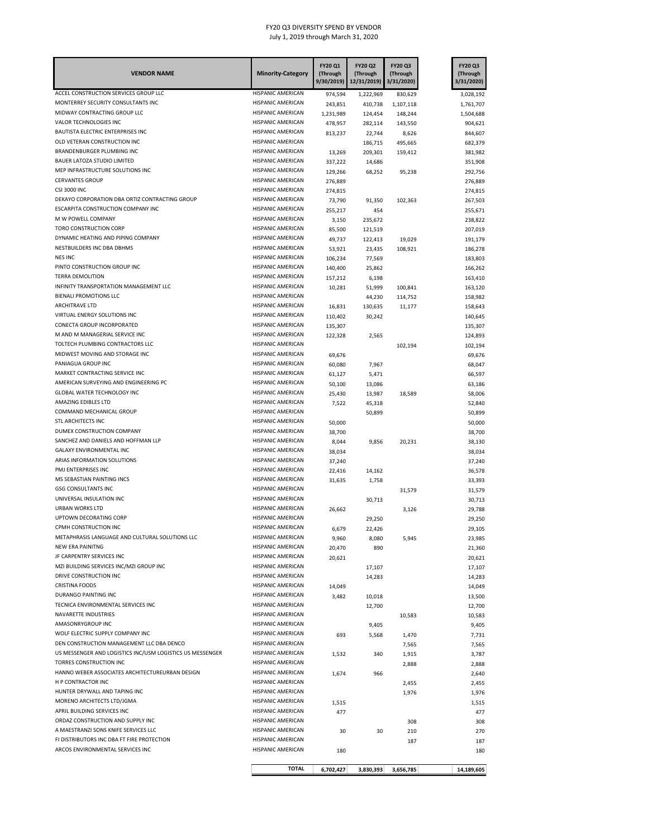| <b>VENDOR NAME</b>                                                | <b>Minority-Category</b>                      | FY20 Q1<br>(Through<br>9/30/2019) | FY20 Q2<br>(Through<br>12/31/2019) | FY20 Q3<br>(Through<br>3/31/2020) | FY20 Q3<br>(Through<br>3/31/2020) |
|-------------------------------------------------------------------|-----------------------------------------------|-----------------------------------|------------------------------------|-----------------------------------|-----------------------------------|
| ACCEL CONSTRUCTION SERVICES GROUP LLC                             | HISPANIC AMERICAN                             | 974,594                           | 1,222,969                          | 830,629                           | 3,028,192                         |
| MONTERREY SECURITY CONSULTANTS INC                                | HISPANIC AMERICAN                             | 243,851                           | 410,738                            | 1,107,118                         | 1,761,707                         |
| MIDWAY CONTRACTING GROUP LLC                                      | HISPANIC AMERICAN                             | 1,231,989                         | 124,454                            | 148,244                           | 1,504,688                         |
| VALOR TECHNOLOGIES INC<br>BAUTISTA ELECTRIC ENTERPRISES INC       | <b>HISPANIC AMERICAN</b><br>HISPANIC AMERICAN | 478,957                           | 282,114                            | 143,550                           | 904,621                           |
| OLD VETERAN CONSTRUCTION INC                                      | HISPANIC AMERICAN                             | 813,237                           | 22,744                             | 8,626                             | 844,607                           |
| BRANDENBURGER PLUMBING INC                                        | HISPANIC AMERICAN                             | 13,269                            | 186,715<br>209,301                 | 495,665<br>159,412                | 682,379<br>381,982                |
| BAUER LATOZA STUDIO LIMITED                                       | HISPANIC AMERICAN                             | 337,222                           | 14,686                             |                                   | 351,908                           |
| MEP INFRASTRUCTURE SOLUTIONS INC                                  | <b>HISPANIC AMERICAN</b>                      | 129,266                           | 68,252                             | 95,238                            | 292,756                           |
| <b>CERVANTES GROUP</b>                                            | HISPANIC AMERICAN                             | 276,889                           |                                    |                                   | 276,889                           |
| <b>CSI 3000 INC</b>                                               | HISPANIC AMERICAN                             | 274,815                           |                                    |                                   | 274,815                           |
| DEKAYO CORPORATION DBA ORTIZ CONTRACTING GROUP                    | <b>HISPANIC AMERICAN</b>                      | 73,790                            | 91,350                             | 102,363                           | 267,503                           |
| ESCARPITA CONSTRUCTION COMPANY INC                                | HISPANIC AMERICAN                             | 255,217                           | 454                                |                                   | 255,671                           |
| M W POWELL COMPANY                                                | HISPANIC AMERICAN                             | 3,150                             | 235,672                            |                                   | 238,822                           |
| TORO CONSTRUCTION CORP                                            | HISPANIC AMERICAN                             | 85,500                            | 121,519                            |                                   | 207,019                           |
| DYNAMIC HEATING AND PIPING COMPANY                                | HISPANIC AMERICAN                             | 49,737                            | 122,413                            | 19,029                            | 191,179                           |
| NESTBUILDERS INC DBA DBHMS<br><b>NES INC</b>                      | HISPANIC AMERICAN<br>HISPANIC AMERICAN        | 53,921                            | 23,435                             | 108,921                           | 186,278                           |
| PINTO CONSTRUCTION GROUP INC                                      | HISPANIC AMERICAN                             | 106,234                           | 77,569                             |                                   | 183,803                           |
| <b>TERRA DEMOLITION</b>                                           | HISPANIC AMERICAN                             | 140,400                           | 25,862                             |                                   | 166,262                           |
| INFINITY TRANSPORTATION MANAGEMENT LLC                            | HISPANIC AMERICAN                             | 157,212<br>10,281                 | 6,198<br>51,999                    | 100,841                           | 163,410<br>163,120                |
| <b>BIENALI PROMOTIONS LLC</b>                                     | HISPANIC AMERICAN                             |                                   | 44,230                             | 114,752                           | 158,982                           |
| ARCHITRAVE LTD                                                    | HISPANIC AMERICAN                             | 16,831                            | 130,635                            | 11,177                            | 158,643                           |
| VIRTUAL ENERGY SOLUTIONS INC                                      | <b>HISPANIC AMERICAN</b>                      | 110,402                           | 30,242                             |                                   | 140,645                           |
| CONECTA GROUP INCORPORATED                                        | HISPANIC AMERICAN                             | 135,307                           |                                    |                                   | 135,307                           |
| M AND M MANAGERIAL SERVICE INC                                    | <b>HISPANIC AMERICAN</b>                      | 122,328                           | 2,565                              |                                   | 124,893                           |
| TOLTECH PLUMBING CONTRACTORS LLC                                  | <b>HISPANIC AMERICAN</b>                      |                                   |                                    | 102,194                           | 102,194                           |
| MIDWEST MOVING AND STORAGE INC                                    | <b>HISPANIC AMERICAN</b>                      | 69,676                            |                                    |                                   | 69,676                            |
| PANIAGUA GROUP INC                                                | HISPANIC AMERICAN                             | 60,080                            | 7,967                              |                                   | 68,047                            |
| MARKET CONTRACTING SERVICE INC                                    | HISPANIC AMERICAN                             | 61,127                            | 5,471                              |                                   | 66,597                            |
| AMERICAN SURVEYING AND ENGINEERING PC                             | HISPANIC AMERICAN                             | 50,100                            | 13,086                             |                                   | 63,186                            |
| GLOBAL WATER TECHNOLOGY INC                                       | HISPANIC AMERICAN                             | 25,430                            | 13,987                             | 18,589                            | 58,006                            |
| AMAZING EDIBLES LTD                                               | HISPANIC AMERICAN                             | 7,522                             | 45,318                             |                                   | 52,840                            |
| COMMAND MECHANICAL GROUP                                          | HISPANIC AMERICAN                             |                                   | 50,899                             |                                   | 50,899                            |
| STL ARCHITECTS INC                                                | HISPANIC AMERICAN                             | 50,000                            |                                    |                                   | 50,000                            |
| DUMEX CONSTRUCTION COMPANY<br>SANCHEZ AND DANIELS AND HOFFMAN LLP | HISPANIC AMERICAN<br>HISPANIC AMERICAN        | 38,700                            |                                    |                                   | 38,700                            |
| GALAXY ENVIRONMENTAL INC                                          | HISPANIC AMERICAN                             | 8,044<br>38,034                   | 9,856                              | 20,231                            | 38,130<br>38,034                  |
| ARIAS INFORMATION SOLUTIONS                                       | <b>HISPANIC AMERICAN</b>                      | 37,240                            |                                    |                                   | 37,240                            |
| PMJ ENTERPRISES INC                                               | HISPANIC AMERICAN                             | 22,416                            | 14,162                             |                                   | 36,578                            |
| MS SEBASTIAN PAINTING INCS                                        | <b>HISPANIC AMERICAN</b>                      | 31,635                            | 1,758                              |                                   | 33,393                            |
| <b>GSG CONSULTANTS INC</b>                                        | <b>HISPANIC AMERICAN</b>                      |                                   |                                    | 31,579                            | 31,579                            |
| UNIVERSAL INSULATION INC                                          | <b>HISPANIC AMERICAN</b>                      |                                   | 30,713                             |                                   | 30,713                            |
| <b>URBAN WORKS LTD</b>                                            | HISPANIC AMERICAN                             | 26,662                            |                                    | 3,126                             | 29,788                            |
| <b>UPTOWN DECORATING CORP</b>                                     | HISPANIC AMERICAN                             |                                   | 29,250                             |                                   | 29,250                            |
| CPMH CONSTRUCTION INC                                             | HISPANIC AMERICAN                             | 6,679                             | 22,426                             |                                   | 29,105                            |
| METAPHRASIS LANGUAGE AND CULTURAL SOLUTIONS LLC                   | HISPANIC AMERICAN                             | 9,960                             | 8,080                              | 5,945                             | 23,985                            |
| NEW ERA PAINITNG                                                  | HISPANIC AMERICAN                             | 20,470                            | 890                                |                                   | 21,360                            |
| JF CARPENTRY SERVICES INC                                         | HISPANIC AMERICAN                             | 20,621                            |                                    |                                   | 20,621                            |
| MZI BUILDING SERVICES INC/MZI GROUP INC                           | HISPANIC AMERICAN                             |                                   | 17,107                             |                                   | 17,107                            |
| DRIVE CONSTRUCTION INC                                            | HISPANIC AMERICAN                             |                                   | 14,283                             |                                   | 14,283                            |
| <b>CRISTINA FOODS</b><br>DURANGO PAINTING INC                     | HISPANIC AMERICAN                             | 14,049                            |                                    |                                   | 14,049                            |
| TECNICA ENVIRONMENTAL SERVICES INC                                | HISPANIC AMERICAN<br>HISPANIC AMERICAN        | 3,482                             | 10,018                             |                                   | 13,500                            |
| NAVARETTE INDUSTRIES                                              | <b>HISPANIC AMERICAN</b>                      |                                   | 12,700                             |                                   | 12,700                            |
| AMASONRYGROUP INC                                                 | HISPANIC AMERICAN                             |                                   | 9,405                              | 10,583                            | 10,583<br>9,405                   |
| WOLF ELECTRIC SUPPLY COMPANY INC                                  | HISPANIC AMERICAN                             | 693                               | 5,568                              | 1,470                             | 7,731                             |
| DEN CONSTRUCTION MANAGEMENT LLC DBA DENCO                         | HISPANIC AMERICAN                             |                                   |                                    | 7,565                             | 7,565                             |
| US MESSENGER AND LOGISTICS INC/USM LOGISTICS US MESSENGER         | HISPANIC AMERICAN                             | 1,532                             | 340                                | 1,915                             | 3,787                             |
| TORRES CONSTRUCTION INC                                           | HISPANIC AMERICAN                             |                                   |                                    | 2,888                             | 2,888                             |
| HANNO WEBER ASSOCIATES ARCHITECTUREURBAN DESIGN                   | HISPANIC AMERICAN                             | 1,674                             | 966                                |                                   | 2,640                             |
| H P CONTRACTOR INC                                                | HISPANIC AMERICAN                             |                                   |                                    | 2,455                             | 2,455                             |
| HUNTER DRYWALL AND TAPING INC                                     | HISPANIC AMERICAN                             |                                   |                                    | 1,976                             | 1,976                             |
| MORENO ARCHITECTS LTD/JGMA                                        | HISPANIC AMERICAN                             | 1,515                             |                                    |                                   | 1,515                             |
| APRIL BUILDING SERVICES INC                                       | HISPANIC AMERICAN                             | 477                               |                                    |                                   | 477                               |
| ORDAZ CONSTRUCTION AND SUPPLY INC                                 | HISPANIC AMERICAN                             |                                   |                                    | 308                               | 308                               |
| A MAESTRANZI SONS KNIFE SERVICES LLC                              | HISPANIC AMERICAN                             | 30                                | 30                                 | 210                               | 270                               |
| FI DISTRIBUTORS INC DBA FT FIRE PROTECTION                        | HISPANIC AMERICAN                             |                                   |                                    | 187                               | 187                               |
| ARCOS ENVIRONMENTAL SERVICES INC                                  | HISPANIC AMERICAN                             | 180                               |                                    |                                   | 180                               |
|                                                                   | <b>TOTAL</b>                                  | 6,702,427                         | 3,830,393                          | 3,656,785                         | 14,189,605                        |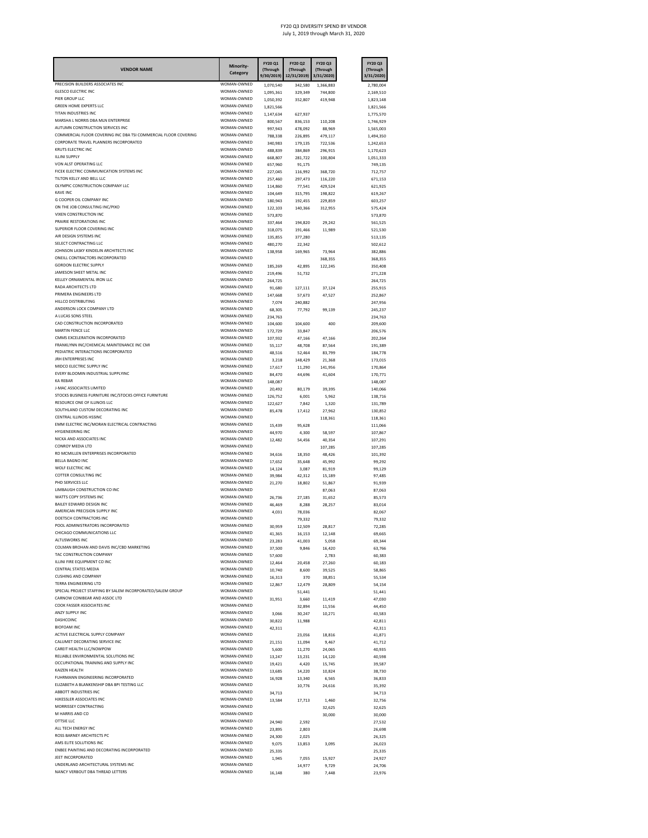| <b>VENDOR NAME</b>                                                                          | Minority-<br>Category      | FY20 Q1<br>(Through<br>9/30/2019) | <b>FY20 Q2</b><br>(Through<br>12/31/2019) | FY20 Q3<br>(Through<br>3/31/2020) | FY20 Q3<br>(Through<br>3/31/2020) |
|---------------------------------------------------------------------------------------------|----------------------------|-----------------------------------|-------------------------------------------|-----------------------------------|-----------------------------------|
| PRECISION BUILDERS ASSOCIATES INC<br><b>GLESCO ELECTRIC INC</b>                             | WOMAN-OWNED<br>WOMAN-OWNED | 1,070,540                         | 342,580                                   | 1,366,883                         | 2,780,004<br>2.169.510            |
| PIER GROUP LLC                                                                              | WOMAN-OWNED                | 1,095,361<br>1,050,392            | 329,349<br>352,807                        | 744,800<br>419,948                | 1,823,148                         |
| <b>GREEN HOME EXPERTS LLC</b>                                                               | WOMAN-OWNED                | 1,821,566                         |                                           |                                   | 1,821,566                         |
| TITAN INDUSTRIES INC.<br>MARSHA L NORRIS DRA MLN ENTERPRISE                                 | WOMAN-OWNED<br>WOMAN-OWNED | 1,147,634                         | 627,937                                   |                                   | 1,775,570                         |
| AUTUMN CONSTRUCTION SERVICES INC.                                                           | WOMAN-OWNED                | 800,567<br>997,943                | 836,153<br>478,092                        | 110,208<br>88,969                 | 1,746,929<br>1,565,003            |
| COMMERCIAL FLOOR COVERING INC DBA TSI COMMERCIAL FLOOR COVERING                             | WOMAN-OWNED                | 788,338                           | 226,895                                   | 479,117                           | 1,494,350                         |
| CORPORATE TRAVEL PLANNERS INCORPORATED                                                      | WOMAN-OWNED                | 340,983                           | 179,135                                   | 722,536                           | 1.242.653                         |
| KRUTS ELECTRIC INC<br><b>ILLINI SUPPLY</b>                                                  | WOMAN-OWNED<br>WOMAN-OWNED | 488,839                           | 384,869                                   | 296,915                           | 1,170,623                         |
| VON ALST OPERATING LLC                                                                      | WOMAN-OWNED                | 668,807<br>657,960                | 281,722<br>91,175                         | 100,804                           | 1,051,333<br>749,135              |
| FICEK ELECTRIC COMMUNICATION SYSTEMS INC                                                    | WOMAN-OWNED                | 227,045                           | 116,992                                   | 368,720                           | 712,757                           |
| TILTON KELLY AND BELL LLC                                                                   | WOMAN-OWNED                | 257,460                           | 297,473                                   | 116,220                           | 671,153                           |
| OLYMPIC CONSTRUCTION COMPANY LLC<br><b>KAVE INC</b>                                         | WOMAN-OWNED<br>WOMAN-OWNED | 114,860                           | 77,541                                    | 429.524                           | 621,925                           |
| G COOPER OIL COMPANY INC                                                                    | WOMAN-OWNED                | 104,649<br>180,943                | 315,795<br>192,455                        | 198,822<br>229,859                | 619.267<br>603,257                |
| ON THE JOB CONSULTING INC/PIXO                                                              | WOMAN-OWNED                | 122,103                           | 140,366                                   | 312,955                           | 575.424                           |
| VIXEN CONSTRUCTION INC                                                                      | WOMAN-OWNED                | 573,870                           |                                           |                                   | 573,870                           |
| PRAIRIE RESTORATIONS INC<br>SUPERIOR FLOOR COVERING INC                                     | WOMAN-OWNED<br>WOMAN-OWNED | 337,464                           | 194,820                                   | 29.242                            | 561,525                           |
| AIR DESIGN SYSTEMS INC                                                                      | WOMAN-OWNED                | 318,075<br>135,855                | 191,466<br>377,280                        | 11,989                            | 521,530<br>513,135                |
| SELECT CONTRACTING LLC                                                                      | WOMAN-OWNED                | 480,270                           | 22,342                                    |                                   | 502,612                           |
| JOHNSON LASKY KINDELIN ARCHITECTS INC                                                       | WOMAN-OWNED                | 138,958                           | 169,965                                   | 73,964                            | 382,886                           |
| ONEILL CONTRACTORS INCORPORATED<br><b>GORDON ELECTRIC SUPPLY</b>                            | WOMAN-OWNED<br>WOMAN-OWNED |                                   |                                           | 368.355                           | 368,355                           |
| JAMESON SHEET METAL INC                                                                     | WOMAN-OWNED                | 185,269<br>219.496                | 42,895<br>51.732                          | 122,245                           | 350,408<br>271.228                |
| KELLEY ORNAMENTAL IRON LLC                                                                  | WOMAN-OWNED                | 264,725                           |                                           |                                   | 264,725                           |
| RADA ARCHITECTS LTD                                                                         | WOMAN-OWNED                | 91,680                            | 127,111                                   | 37.124                            | 255,915                           |
| PRIMERA ENGINEERS LTD                                                                       | WOMAN-OWNED                | 147,668                           | 57,673                                    | 47,527                            | 252,867                           |
| HILLCO DISTRIBUTING<br>ANDERSON LOCK COMPANY LTD                                            | WOMAN-OWNED<br>WOMAN-OWNED | 7,074                             | 240.882                                   |                                   | 247.956                           |
| A LUCAS SONS STEEL                                                                          | WOMAN-OWNED                | 68,305<br>234,763                 | 77,792                                    | 99,139                            | 245,237<br>234,763                |
| CAD CONSTRUCTION INCORPORATED                                                               | WOMAN-OWNED                | 104,600                           | 104,600                                   | 400                               | 209,600                           |
| MARTIN FENCE LLC                                                                            | WOMAN-OWNED                | 172,729                           | 33,847                                    |                                   | 206,576                           |
| CMMS EXCELERATION INCORPORATED                                                              | WOMAN-OWNED                | 107,932                           | 47,166                                    | 47,166                            | 202,264                           |
| FRANKLYNN INC/CHEMICAL MAINTENANCE INC CMI<br>PEDIATRIC INTERACTIONS INCORPORATED           | WOMAN-OWNED<br>WOMAN-OWNED | 55,117                            | 48,708                                    | 87,564                            | 191,389                           |
| <b>JRH ENTERPRISES INC</b>                                                                  | WOMAN-OWNED                | 48.516<br>3,218                   | 52,464<br>148,429                         | 83,799<br>21,368                  | 184,778<br>173,019                |
| MIDCO ELECTRIC SUPPLY INC                                                                   | WOMAN-OWNED                | 17,617                            | 11,290                                    | 141,956                           | 170,864                           |
| EVERY BLOOMIN INDUSTRIAL SUPPLYINC                                                          | WOMAN-OWNED                | 84,470                            | 44.696                                    | 41.604                            | 170.771                           |
| <b>KA REBAR</b>                                                                             | WOMAN-OWNED                | 148,087                           |                                           |                                   | 148,087                           |
| J-MAC ASSOCIATES LIMITED<br>STOCKS BUSINESS FURNITURE INC/STOCKS OFFICE FURNITURE           | WOMAN-OWNED<br>WOMAN-OWNED | 20,492                            | 80,179                                    | 39,395                            | 140.066                           |
| RESOURCE ONE OF ILLINOIS LLC                                                                | WOMAN-OWNED                | 126,752<br>122,627                | 6,001<br>7,842                            | 5,962<br>1,320                    | 138,716<br>131.789                |
| SOUTHLAND CUSTOM DECORATING INC                                                             | WOMAN-OWNED                | 85,478                            | 17,412                                    | 27,962                            | 130,852                           |
| CENTRAL ILLINOIS HSSINC                                                                     | WOMAN-OWNED                |                                   |                                           | 118,361                           | 118,361                           |
| EMM ELECTRIC INC/MORAN ELECTRICAL CONTRACTING<br><b>HYGIENEERING INC</b>                    | WOMAN-OWNED<br>WOMAN-OWNED | 15,439                            | 95,628                                    |                                   | 111,066                           |
| NICKA AND ASSOCIATES INC                                                                    | WOMAN-OWNED                | 44,970<br>12,482                  | 4,300<br>54,456                           | 58,597<br>40,354                  | 107,867<br>107,291                |
| CONROY MEDIA LTD                                                                            | WOMAN-OWNED                |                                   |                                           | 107,285                           | 107,285                           |
| RD MCMILLEN ENTERPRISES INCORPORATED                                                        | WOMAN-OWNED                | 34,616                            | 18,350                                    | 48,426                            | 101.392                           |
| <b>BELLA BAGNO INC</b>                                                                      | WOMAN-OWNED                | 17,652                            | 35,648                                    | 45,992                            | 99,292                            |
| WOLF ELECTRIC INC<br>COTTER CONSULTING INC                                                  | WOMAN-OWNED<br>WOMAN-OWNED | 14,124                            | 3,087                                     | 81,919                            | 99,129                            |
| PHD SERVICES LLC                                                                            | WOMAN-OWNED                | 39,984<br>21,270                  | 42,312<br>18,802                          | 15,189<br>51,867                  | 97,485<br>91,939                  |
| LIMBAUGH CONSTRUCTION CO INC                                                                | WOMAN-OWNED                |                                   |                                           | 87,063                            | 87,063                            |
| WATTS COPY SYSTEMS INC                                                                      | WOMAN-OWNED                | 26,736                            | 27,185                                    | 31,652                            | 85,573                            |
| BAILEY EDWARD DESIGN INC<br>AMERICAN PRECISION SUPPLY INC                                   | WOMAN-OWNED<br>WOMAN-OWNED | 46,469                            | 8,288                                     | 28,257                            | 83,014                            |
| DOETSCH CONTRACTORS INC                                                                     | WOMAN-OWNED                | 4,031                             | 78,036<br>79,332                          |                                   | 82,067<br>79,332                  |
| POOL ADMINISTRATORS INCORPORATED                                                            | WOMAN-OWNED                | 30.959                            | 12,509                                    | 28,817                            | 72,285                            |
| <b>VICATIONS LLC</b>                                                                        |                            | 41,365                            | 16,153                                    | 12.148                            | 69,665                            |
| ALTUSWORKS INC                                                                              | WOMAN-OWNED                | 23,283                            | 41,003                                    | 5,058                             | 69,344                            |
| COLMAN BROHAN AND DAVIS INC/CBD MARKETING<br>TAC CONSTRUCTION COMPANY                       | WOMAN-OWNED<br>WOMAN-OWNED | 37,500                            | 9,846                                     | 16,420                            | 63,766                            |
| ILLINI FIRE EQUIPMENT CO INC                                                                | WOMAN-OWNED                | 57,600<br>12,464                  | 20,458                                    | 2,783<br>27,260                   | 60,383<br>60,183                  |
| <b>CENTRAL STATES MEDIA</b>                                                                 | WOMAN-OWNED                | 10,740                            | 8,600                                     | 39,525                            | 58.865                            |
| <b>CUSHING AND COMPANY</b>                                                                  | WOMAN-OWNED                | 16,313                            | 370                                       | 38,851                            | 55,534                            |
| TERRA ENGINEERING LTD                                                                       | WOMAN-OWNED                | 12.867                            | 12,479                                    | 28,809                            | 54,154                            |
| SPECIAL PROJECT STAFFING BY SALEM INCORPORATED/SALEM GROUP<br>CARNOW CONIBEAR AND ASSOC LTD | WOMAN-OWNED<br>WOMAN-OWNED |                                   | 51,441                                    |                                   | 51,441<br>47.030                  |
| COOK FASSER ASSOCIATES INC                                                                  | WOMAN-OWNED                | 31,951                            | 3,660<br>32,894                           | 11,419<br>11,556                  | 44,450                            |
| ANZY SUPPLY INC.                                                                            | WOMAN-OWNED                | 3,066                             | 30,247                                    | 10.271                            | 43,583                            |
| DASHCOINC                                                                                   | WOMAN-OWNED                | 30,822                            | 11,988                                    |                                   | 42.811                            |
| <b>BIOFOAM INC</b>                                                                          | WOMAN-OWNED                | 42,311                            |                                           |                                   | 42,311                            |
| ACTIVE ELECTRICAL SUPPLY COMPANY<br>CALUMET DECORATING SERVICE INC                          | WOMAN-OWNED<br>WOMAN-OWNED |                                   | 23,056                                    | 18.816                            | 41.871                            |
| CAREIT HEALTH LLC/NOWPOW                                                                    | WOMAN-OWNED                | 21,151<br>5,600                   | 11,094<br>11,270                          | 9,467<br>24,065                   | 41,712<br>40,935                  |
| RELIABLE ENVIRONMENTAL SOLUTIONS INC                                                        | WOMAN-OWNED                | 13,247                            | 13,231                                    | 14,120                            | 40,598                            |
| OCCUPATIONAL TRAINING AND SUPPLY INC                                                        | WOMAN-OWNED                | 19,421                            | 4,420                                     | 15.745                            | 39,587                            |
| KAIZEN HEALTH                                                                               | WOMAN-OWNED                | 13,685                            | 14,220                                    | 10,824                            | 38,730                            |
| FUHRMANN ENGINEERING INCORPORATED<br>ELIZABETH A BLANKENSHIP DBA BPI TESTING LLC            | WOMAN-OWNED<br>WOMAN-OWNED | 16,928                            | 13,340<br>10,776                          | 6,565<br>24,616                   | 36,833<br>35.392                  |
| ABBOTT INDUSTRIES INC                                                                       | WOMAN-OWNED                | 34,713                            |                                           |                                   | 34,713                            |
| HJKESSLER ASSOCIATES INC                                                                    | WOMAN-OWNED                | 13,584                            | 17.713                                    | 1,460                             | 32,756                            |
| MORRISSEY CONTRACTING                                                                       | WOMAN-OWNED                |                                   |                                           | 32,625                            | 32,625                            |
| M HARRIS AND CO<br>OTTSIE LLC                                                               | WOMAN-OWNED<br>WOMAN-OWNED |                                   |                                           | 30,000                            | 30,000                            |
| ALL TECH ENERGY INC                                                                         | WOMAN-OWNED                | 24,940<br>23,895                  | 2,592<br>2,803                            |                                   | 27,532<br>26,698                  |
| ROSS BARNEY ARCHITECTS PC                                                                   | WOMAN-OWNED                | 24,300                            | 2.025                                     |                                   | 26.325                            |
| AMS ELITE SOLUTIONS INC                                                                     | WOMAN-OWNED                | 9,075                             | 13,853                                    | 3,095                             | 26,023                            |
| ENBEE PAINTING AND DECORATING INCORPORATED                                                  | WOMAN-OWNED                | 25,335                            |                                           |                                   | 25,335                            |
| JEET INCORPORATED<br>UNDERLAND ARCHITECTURAL SYSTEMS INC                                    | WOMAN-OWNED<br>WOMAN-OWNED | 1,945                             | 7,055                                     | 15,927                            | 24,927                            |
| NANCY VERBOUT DBA THREAD LETTERS                                                            | WOMAN-OWNED                | 16,148                            | 14,977<br>380                             | 9,729<br>7,448                    | 24,706<br>23,976                  |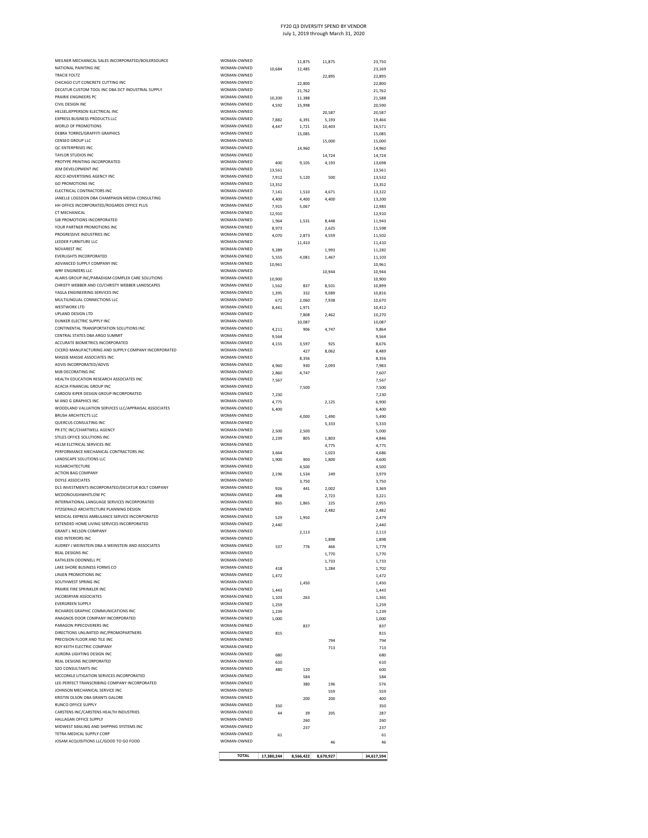| MCCORKLE LITIGATION SERVICES INCORPORATED<br>LEE-PERFECT TRANSCRIBING COMPANY INCORPORATED<br>JOHNSON MECHANICAL SERVICE INC<br>KRISTIN OLSON DBA GRANTS GALORE<br>RUNCO OFFICE SUPPLY<br>CARSTENS INC/CARSTENS HEALTH INDUSTRIES<br>HALLAGAN OFFICE SUPPLY<br>MIDWEST MAILING AND SHIPPING SYSTEMS INC<br>TETRA MEDICAL SUPPLY CORP<br>JOSAM ACQUISITIONS LLC/GOOD TO GO FOOD | WOMAN-OWNED<br>WOMAN-OWNED<br>WOMAN-OWNED<br>WOMAN-OWNED<br>WOMAN-OWNED<br>WOMAN-OWNED<br>WOMAN-OWNED<br>WOMAN-OWNED<br>WOMAN-OWNED | 350<br>44<br>61 | 380<br>200<br>39<br>260<br>237 | 196<br>559<br>200<br>205<br>46 | 559<br>400<br>350<br>287<br>260<br>237<br>61<br>46 |
|--------------------------------------------------------------------------------------------------------------------------------------------------------------------------------------------------------------------------------------------------------------------------------------------------------------------------------------------------------------------------------|-------------------------------------------------------------------------------------------------------------------------------------|-----------------|--------------------------------|--------------------------------|----------------------------------------------------|
|                                                                                                                                                                                                                                                                                                                                                                                |                                                                                                                                     |                 |                                |                                |                                                    |
|                                                                                                                                                                                                                                                                                                                                                                                |                                                                                                                                     |                 |                                |                                |                                                    |
|                                                                                                                                                                                                                                                                                                                                                                                |                                                                                                                                     |                 |                                |                                |                                                    |
|                                                                                                                                                                                                                                                                                                                                                                                |                                                                                                                                     |                 |                                |                                |                                                    |
|                                                                                                                                                                                                                                                                                                                                                                                |                                                                                                                                     |                 |                                |                                |                                                    |
|                                                                                                                                                                                                                                                                                                                                                                                |                                                                                                                                     |                 |                                |                                |                                                    |
|                                                                                                                                                                                                                                                                                                                                                                                |                                                                                                                                     |                 |                                |                                |                                                    |
|                                                                                                                                                                                                                                                                                                                                                                                | WOMAN-OWNED                                                                                                                         |                 | 584                            |                                | 584<br>576                                         |
| <b>S2O CONSULTANTS INC</b>                                                                                                                                                                                                                                                                                                                                                     | WOMAN-OWNED                                                                                                                         | 480             | 120                            |                                | 600                                                |
| REAL DESIGNS INCORPORATED                                                                                                                                                                                                                                                                                                                                                      | WOMAN-OWNED                                                                                                                         | 610             |                                |                                | 610                                                |
| ROY KEITH ELECTRIC COMPANY<br>AURORA LIGHTING DESIGN INC                                                                                                                                                                                                                                                                                                                       | WOMAN-OWNED<br>WOMAN-OWNED                                                                                                          | 680             |                                | 713                            | 713<br>680                                         |
| PRECISION FLOOR AND TILE INC                                                                                                                                                                                                                                                                                                                                                   | WOMAN-OWNED                                                                                                                         |                 |                                | 794                            | 794                                                |
| DIRECTIONS UNLIMITED INC/PROMOPARTNERS                                                                                                                                                                                                                                                                                                                                         | WOMAN-OWNED                                                                                                                         | 815             |                                |                                | 815                                                |
| ANAGNOS DOOR COMPANY INCORPORATED<br>PARAGON PIPECOVERERS INC                                                                                                                                                                                                                                                                                                                  | WOMAN-OWNED<br>WOMAN-OWNED                                                                                                          | 1,000           | 837                            |                                | 1,000<br>837                                       |
| RICHARDS GRAPHIC COMMUNICATIONS INC                                                                                                                                                                                                                                                                                                                                            | WOMAN-OWNED                                                                                                                         | 1,239           |                                |                                | 1,239                                              |
| <b>FVERGREEN SUPPLY</b>                                                                                                                                                                                                                                                                                                                                                        | WOMAN-OWNED                                                                                                                         | 1,259           |                                |                                | 1,259                                              |
| JACOBSRYAN ASSOCIATES                                                                                                                                                                                                                                                                                                                                                          | WOMAN-OWNED                                                                                                                         | 1,443<br>1,103  | 263                            |                                | 1,443<br>1,365                                     |
| SOUTHWEST SPRING INC<br>PRAIRIE FIRE SPRINKLER INC                                                                                                                                                                                                                                                                                                                             | WOMAN-OWNED<br>WOMAN-OWNED                                                                                                          |                 | 1.450                          |                                | 1.450                                              |
| LINJEN PROMOTIONS INC                                                                                                                                                                                                                                                                                                                                                          | WOMAN-OWNED                                                                                                                         | 1,472           |                                |                                | 1,472                                              |
| LAKE SHORE BUSINESS FORMS CO                                                                                                                                                                                                                                                                                                                                                   | WOMAN-OWNED                                                                                                                         | 418             |                                | 1,733<br>1,284                 | 1,733<br>1.702                                     |
| <b>REAL DESIGNS INC</b><br>KATHLEEN ODONNELL PC                                                                                                                                                                                                                                                                                                                                | WOMAN-OWNED<br>WOMAN-OWNED                                                                                                          |                 |                                | 1,770                          | 1,770                                              |
| AUDREY J WEINSTEIN DBA A WEINSTEIN AND ASSOCIATES                                                                                                                                                                                                                                                                                                                              | WOMAN-OWNED                                                                                                                         | 537             | 776                            | 466                            | 1,779                                              |
| <b>KSID INTERIORS INC</b>                                                                                                                                                                                                                                                                                                                                                      | WOMAN-OWNED                                                                                                                         |                 |                                | 1,898                          | 1,898                                              |
| <b>GRANT L NELSON COMPANY</b>                                                                                                                                                                                                                                                                                                                                                  | WOMAN-OWNED                                                                                                                         | 2,440           | 2,113                          |                                | 2,440<br>2,113                                     |
| MEDICAL EXPRESS AMBULANCE SERVICE INCORPORATED<br>EXTENDED HOME LIVING SERVICES INCORPORATED                                                                                                                                                                                                                                                                                   | WOMAN-OWNED<br>WOMAN-OWNED                                                                                                          | 529             | 1.950                          |                                | 2.479                                              |
| FITZGERALD ARCHITECTURE PLANNING DESIGN                                                                                                                                                                                                                                                                                                                                        | WOMAN-OWNED                                                                                                                         |                 |                                | 2,482                          | 2,482                                              |
| INTERNATIONAL LANGUAGE SERVICES INCORPORATED                                                                                                                                                                                                                                                                                                                                   | WOMAN-OWNED                                                                                                                         | 498<br>865      | 1,865                          | 2,723<br>225                   | 3,221<br>2,955                                     |
| DLS INVESTMENTS INCORPORATED/DECATUR BOLT COMPANY<br>MCDONOUGHWHITLOW PC                                                                                                                                                                                                                                                                                                       | WOMAN-OWNED<br>WOMAN-OWNED                                                                                                          | 926             | 441                            | 2,002                          | 3,369                                              |
| DOYLE ASSOCIATES                                                                                                                                                                                                                                                                                                                                                               | WOMAN-OWNED                                                                                                                         |                 | 3,750                          |                                | 3,750                                              |
| <b>ACTION BAG COMPANY</b>                                                                                                                                                                                                                                                                                                                                                      | WOMAN-OWNED                                                                                                                         | 2,196           | 1,534                          | 249                            | 3,979                                              |
| HUSARCHITECTURE                                                                                                                                                                                                                                                                                                                                                                | WOMAN-OWNED                                                                                                                         | 1,900           | 900<br>4,500                   | 1,800                          | 4,600<br>4,500                                     |
| PERFORMANCE MECHANICAL CONTRACTORS INC<br>LANDSCAPE SOLUTIONS LLC                                                                                                                                                                                                                                                                                                              | WOMAN-OWNED<br>WOMAN-OWNED                                                                                                          | 3,664           |                                | 1.023                          | 4,686                                              |
| HELM ELCTRICAL SERVICES INC                                                                                                                                                                                                                                                                                                                                                    | WOMAN-OWNED                                                                                                                         |                 |                                | 4,775                          | 4,775                                              |
| STILES OFFICE SOLUTIONS INC                                                                                                                                                                                                                                                                                                                                                    | WOMAN-OWNED                                                                                                                         | 2,500<br>2,239  | 2,500<br>805                   | 1,803                          | 5,000<br>4,846                                     |
| QUERCUS CONSULTING INC<br>PR ETC INC/CHARTWELL AGENCY                                                                                                                                                                                                                                                                                                                          | WOMAN-OWNED<br>WOMAN-OWNED                                                                                                          |                 |                                | 5,333                          | 5,333                                              |
| <b>BRUSH ARCHITECTS LLC</b>                                                                                                                                                                                                                                                                                                                                                    | WOMAN-OWNED                                                                                                                         |                 | 4.000                          | 1,490                          | 5,490                                              |
| WOODLAND VALUATION SERVICES LLC/APPRAISAL ASSOCIATES                                                                                                                                                                                                                                                                                                                           | WOMAN-OWNED                                                                                                                         | 4,775<br>6,400  |                                |                                | 6,900<br>6,400                                     |
| CARDOSI KIPER DESIGN GROUP INCORPORATED<br>M AND G GRAPHICS INC                                                                                                                                                                                                                                                                                                                | WOMAN-OWNED<br>WOMAN-OWNED                                                                                                          | 7,230           |                                | 2.125                          | 7,230                                              |
| ACACIA FINANCIAL GROUP INC                                                                                                                                                                                                                                                                                                                                                     | WOMAN-OWNED                                                                                                                         |                 | 7,500                          |                                | 7,500                                              |
| HEALTH EDUCATION RESEARCH ASSOCIATES INC                                                                                                                                                                                                                                                                                                                                       | WOMAN-OWNED                                                                                                                         | 7,567           |                                |                                | 7,567                                              |
| MJB DECORATING INC                                                                                                                                                                                                                                                                                                                                                             | WOMAN-OWNED<br>WOMAN-OWNED                                                                                                          | 4,960<br>2,860  | 930<br>4,747                   | 2,093                          | 7,983<br>7,607                                     |
| MASSIE MASSIE ASSOCIATES INC<br>ADVIS INCORPORATED/ADVIS                                                                                                                                                                                                                                                                                                                       | WOMAN-OWNED                                                                                                                         |                 | 8,356                          |                                | 8,356                                              |
| CICERO MANUFACTURING AND SUPPLY COMPANY INCORPORATED                                                                                                                                                                                                                                                                                                                           | WOMAN-OWNED                                                                                                                         |                 | 427                            | 8.062                          | 8,489                                              |
| ACCURATE BIOMETRICS INCORPORATED                                                                                                                                                                                                                                                                                                                                               | WOMAN-OWNED                                                                                                                         | 4,155           | 3,597                          | 925                            | 8,676                                              |
| CENTRAL STATES DBA ARGO SUMMIT                                                                                                                                                                                                                                                                                                                                                 | WOMAN-OWNED                                                                                                                         | 4,211<br>9,564  | 906                            | 4,747                          | 9,864<br>9,564                                     |
| DUNKER ELECTRIC SUPPLY INC<br>CONTINENTAL TRANSPORTATION SOLUTIONS INC                                                                                                                                                                                                                                                                                                         | WOMAN-OWNED<br>WOMAN-OWNED                                                                                                          |                 | 10,087                         |                                | 10,087                                             |
| UPLAND DESIGN LTD                                                                                                                                                                                                                                                                                                                                                              | WOMAN-OWNED                                                                                                                         |                 | 7,808                          | 2,462                          | 10,270                                             |
| WESTWORX LTD                                                                                                                                                                                                                                                                                                                                                                   | WOMAN-OWNED                                                                                                                         | 8,441           | 1,971                          |                                | 10,412                                             |
| MULTILINGUAL CONNECTIONS LLC                                                                                                                                                                                                                                                                                                                                                   | WOMAN-OWNED                                                                                                                         | 1,395<br>672    | 332<br>2,060                   | 9,089<br>7,938                 | 10,816<br>10,670                                   |
| CHRISTY WEBBER AND CO/CHRISTY WEBBER LANDSCAPES<br>YAGLA ENGINEERING SERVICES INC                                                                                                                                                                                                                                                                                              | WOMAN-OWNED<br>WOMAN-OWNED                                                                                                          | 1,562           | 837                            | 8,501                          | 10,899                                             |
| ALARIS GROUP INC/PARADIGM COMPLEX CARE SOLUTIONS                                                                                                                                                                                                                                                                                                                               | WOMAN-OWNED                                                                                                                         | 10,900          |                                |                                | 10,900                                             |
| WRF ENGINEERS LLC                                                                                                                                                                                                                                                                                                                                                              | WOMAN-OWNED                                                                                                                         |                 |                                | 10.944                         | 10.944                                             |
| ADVANCED SUPPLY COMPANY INC                                                                                                                                                                                                                                                                                                                                                    | WOMAN-OWNED                                                                                                                         | 10,961          |                                |                                | 10,961                                             |
| <b>EVERLIGHTS INCORPORATED</b>                                                                                                                                                                                                                                                                                                                                                 | WOMAN-OWNED<br>WOMAN-OWNED                                                                                                          | 9,289<br>5,555  | 4,081                          | 1,993<br>1,467                 | 11,282<br>11,103                                   |
| LEEDER FURNITURE LLC<br>NOVAREST INC                                                                                                                                                                                                                                                                                                                                           | WOMAN-OWNED                                                                                                                         |                 | 11,410                         |                                | 11,410                                             |
| PROGRESSIVE INDUSTRIES INC                                                                                                                                                                                                                                                                                                                                                     | WOMAN-OWNED                                                                                                                         | 4,070           | 2,873                          | 4,559                          | 11,502                                             |
| YOUR PARTNER PROMOTIONS INC                                                                                                                                                                                                                                                                                                                                                    | WOMAN-OWNED                                                                                                                         | 1,964<br>8,973  | 1,531                          | 8.448<br>2,625                 | 11,943<br>11,598                                   |
| CT MECHANICAL<br>SJB PROMOTIONS INCORPORATED                                                                                                                                                                                                                                                                                                                                   | WOMAN-OWNED<br>WOMAN-OWNED                                                                                                          | 12,910          |                                |                                | 12,910                                             |
| HH OFFICE INCORPORATED/ROGARDS OFFICE PLUS                                                                                                                                                                                                                                                                                                                                     | WOMAN-OWNED                                                                                                                         | 7,915           | 5,067                          |                                | 12.983                                             |
| JANELLE LOGSDON DBA CHAMPAIGN MEDIA CONSULTING                                                                                                                                                                                                                                                                                                                                 | WOMAN-OWNED                                                                                                                         | 7,141<br>4,400  | 1,510<br>4,400                 | 4,671<br>4,400                 | 13,322<br>13,200                                   |
| GO PROMOTIONS INC<br>ELECTRICAL CONTRACTORS INC                                                                                                                                                                                                                                                                                                                                | WOMAN-OWNED<br>WOMAN-OWNED                                                                                                          | 13,352          |                                |                                | 13,352                                             |
| ADCO ADVERTISING AGENCY INC                                                                                                                                                                                                                                                                                                                                                    | WOMAN-OWNED                                                                                                                         | 7,912           | 5,120                          | 500                            | 13,532                                             |
| JEM DEVELOPMENT INC                                                                                                                                                                                                                                                                                                                                                            | WOMAN-OWNED                                                                                                                         | 13,561          |                                |                                | 13,561                                             |
| PROTYPE PRINTING INCORPORATED                                                                                                                                                                                                                                                                                                                                                  | WOMAN-OWNED                                                                                                                         | 400             | 9,105                          | 4,193                          | 14,724<br>13,698                                   |
| OC ENTERPRISES INC<br>TAYLOR STUDIOS INC                                                                                                                                                                                                                                                                                                                                       | WOMAN-OWNED<br>WOMAN-OWNED                                                                                                          |                 | 14,960                         | 14.724                         | 14,960                                             |
| CENSEO GROUP LLC                                                                                                                                                                                                                                                                                                                                                               | WOMAN-OWNED                                                                                                                         |                 |                                | 15,000                         | 15,000                                             |
| DEBRA TORRES/GRAFFITI GRAPHICS                                                                                                                                                                                                                                                                                                                                                 | WOMAN-OWNED                                                                                                                         |                 | 15,085                         |                                | 15,085                                             |
| EXPRESS BUSINESS PRODUCTS LLC<br>WORLD OF PROMOTIONS                                                                                                                                                                                                                                                                                                                           | WOMAN-OWNED<br>WOMAN-OWNED                                                                                                          | 7,882<br>4,447  | 6,391<br>1,721                 | 5,193<br>10,403                | 19,466<br>16,571                                   |
| HELSELJEPPERSON ELECTRICAL INC                                                                                                                                                                                                                                                                                                                                                 | WOMAN-OWNED                                                                                                                         |                 |                                | 20,587                         | 20,587                                             |
| CIVIL DESIGN INC                                                                                                                                                                                                                                                                                                                                                               | WOMAN-OWNED                                                                                                                         | 4,592           | 15,998                         |                                | 20,590                                             |
| PRAIRIE ENGINEERS PC                                                                                                                                                                                                                                                                                                                                                           | WOMAN-OWNED<br>WOMAN-OWNED                                                                                                          | 10,200          | 21,762<br>11,388               |                                | 21.762<br>21,588                                   |
| CHICAGO CUT CONCRETE CUTTING INC<br>DECATUR CUSTOM TOOL INC DBA DCT INDUSTRIAL SUPPLY                                                                                                                                                                                                                                                                                          | WOMAN-OWNED                                                                                                                         |                 | 22,800                         |                                | 22,800                                             |
| <b>TRACIE FOLTZ</b>                                                                                                                                                                                                                                                                                                                                                            | WOMAN-OWNED                                                                                                                         |                 |                                | 22,895                         | 22,895                                             |
| MEILNER MECHANICAL SALES INCORPORATED/BOILERSOURCE<br>NATIONAL PAINTING INC                                                                                                                                                                                                                                                                                                    | WOMAN-OWNED<br>WOMAN-OWNED                                                                                                          | 10,684          | 11,875<br>12.485               | 11,875                         | 23,750<br>23,169                                   |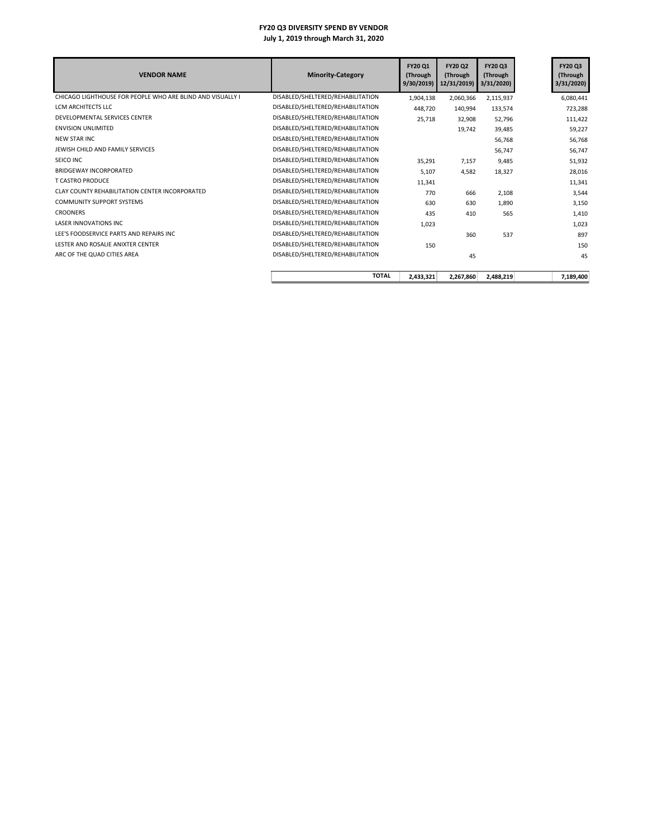| <b>VENDOR NAME</b>                                         | <b>Minority-Category</b>          | FY20 Q1<br>(Through<br>9/30/2019 | <b>FY20 Q2</b><br>(Through<br>12/31/2019) | <b>FY20 Q3</b><br>(Through<br>3/31/2020 | FY20 Q3<br>(Through<br>3/31/2020) |
|------------------------------------------------------------|-----------------------------------|----------------------------------|-------------------------------------------|-----------------------------------------|-----------------------------------|
| CHICAGO LIGHTHOUSE FOR PEOPLE WHO ARE BLIND AND VISUALLY I | DISABLED/SHELTERED/REHABILITATION | 1,904,138                        | 2,060,366                                 | 2,115,937                               | 6,080,441                         |
| LCM ARCHITECTS LLC                                         | DISABLED/SHELTERED/REHABILITATION | 448.720                          | 140,994                                   | 133,574                                 | 723,288                           |
| DEVELOPMENTAL SERVICES CENTER                              | DISABLED/SHELTERED/REHABILITATION | 25.718                           | 32.908                                    | 52.796                                  | 111,422                           |
| <b>ENVISION UNLIMITED</b>                                  | DISABLED/SHELTERED/REHABILITATION |                                  | 19,742                                    | 39,485                                  | 59,227                            |
| <b>NEW STAR INC</b>                                        | DISABLED/SHELTERED/REHABILITATION |                                  |                                           | 56,768                                  | 56,768                            |
| JEWISH CHILD AND FAMILY SERVICES                           | DISABLED/SHELTERED/REHABILITATION |                                  |                                           | 56,747                                  | 56,747                            |
| SEICO INC                                                  | DISABLED/SHELTERED/REHABILITATION | 35,291                           | 7,157                                     | 9,485                                   | 51,932                            |
| BRIDGEWAY INCORPORATED                                     | DISABLED/SHELTERED/REHABILITATION | 5,107                            | 4,582                                     | 18,327                                  | 28,016                            |
| <b>T CASTRO PRODUCE</b>                                    | DISABLED/SHELTERED/REHABILITATION | 11,341                           |                                           |                                         | 11,341                            |
| CLAY COUNTY REHABILITATION CENTER INCORPORATED             | DISABLED/SHELTERED/REHABILITATION | 770                              | 666                                       | 2,108                                   | 3,544                             |
| <b>COMMUNITY SUPPORT SYSTEMS</b>                           | DISABLED/SHELTERED/REHABILITATION | 630                              | 630                                       | 1,890                                   | 3,150                             |
| <b>CROONERS</b>                                            | DISABLED/SHELTERED/REHABILITATION | 435                              | 410                                       | 565                                     | 1,410                             |
| <b>LASER INNOVATIONS INC</b>                               | DISABLED/SHELTERED/REHABILITATION | 1,023                            |                                           |                                         | 1,023                             |
| LEE'S FOODSERVICE PARTS AND REPAIRS INC.                   | DISABLED/SHELTERED/REHABILITATION |                                  | 360                                       | 537                                     | 897                               |
| LESTER AND ROSALIE ANIXTER CENTER                          | DISABLED/SHELTERED/REHABILITATION | 150                              |                                           |                                         | 150                               |
| ARC OF THE QUAD CITIES AREA                                | DISABLED/SHELTERED/REHABILITATION |                                  | 45                                        |                                         | 45                                |
|                                                            | <b>TOTAL</b>                      | 2,433,321                        | 2,267,860                                 | 2,488,219                               | 7,189,400                         |